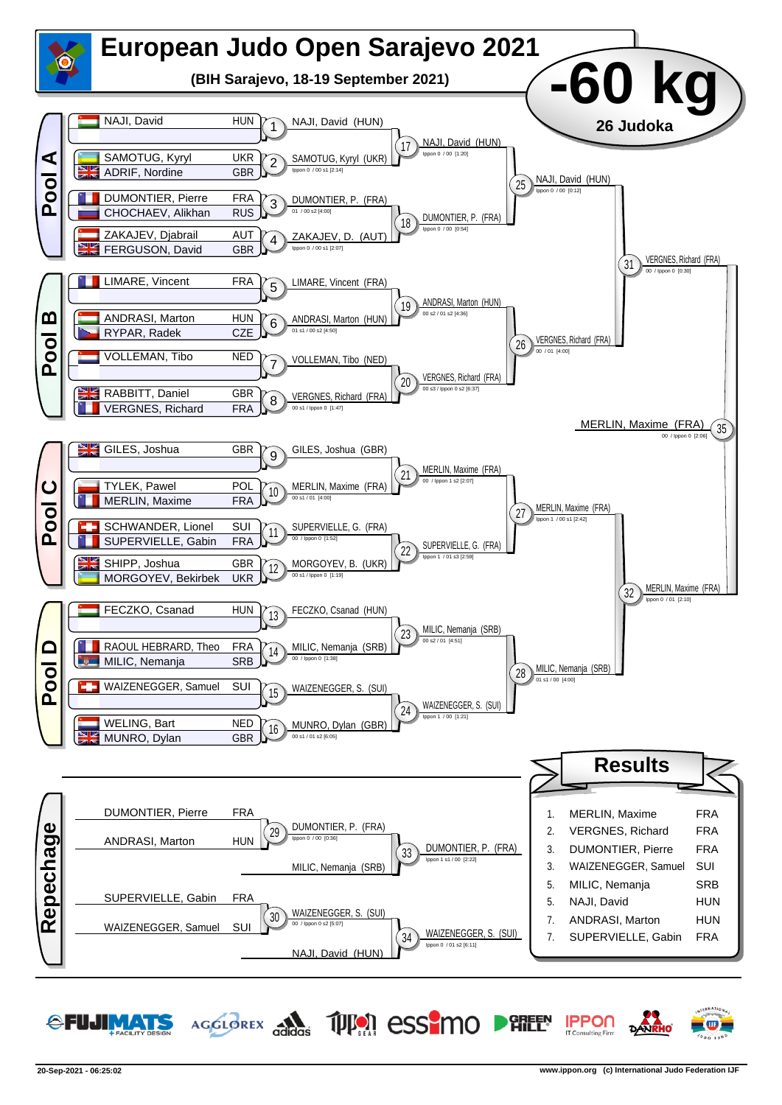

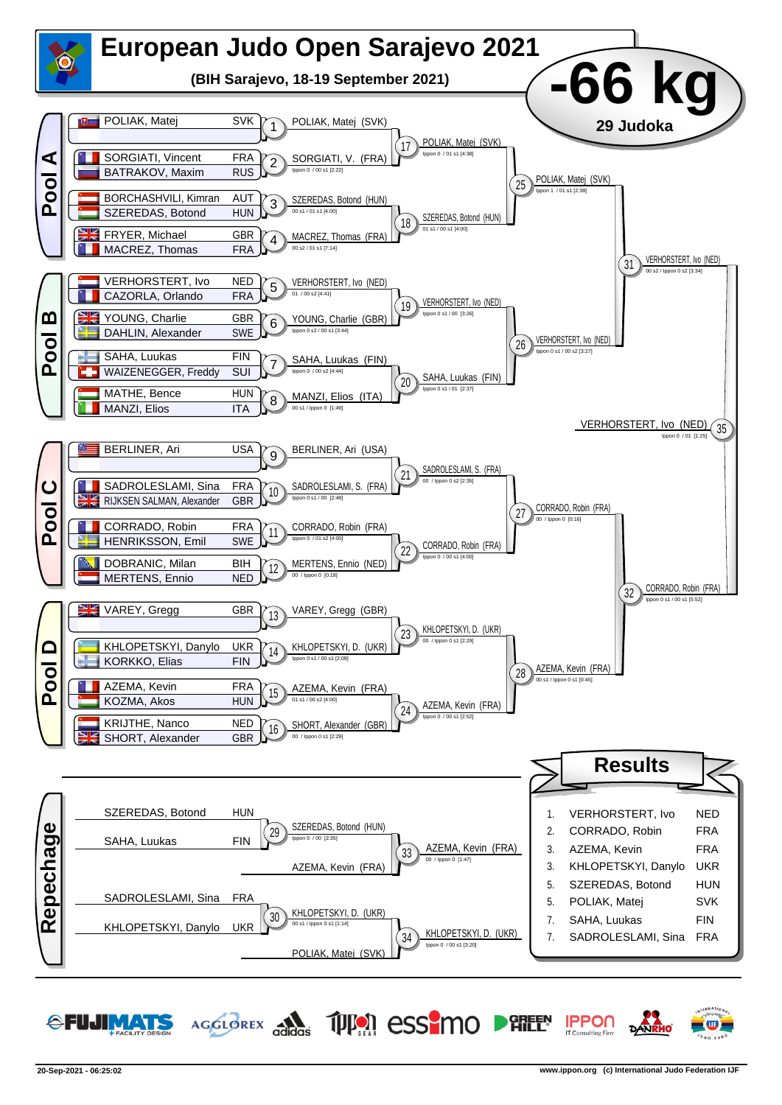

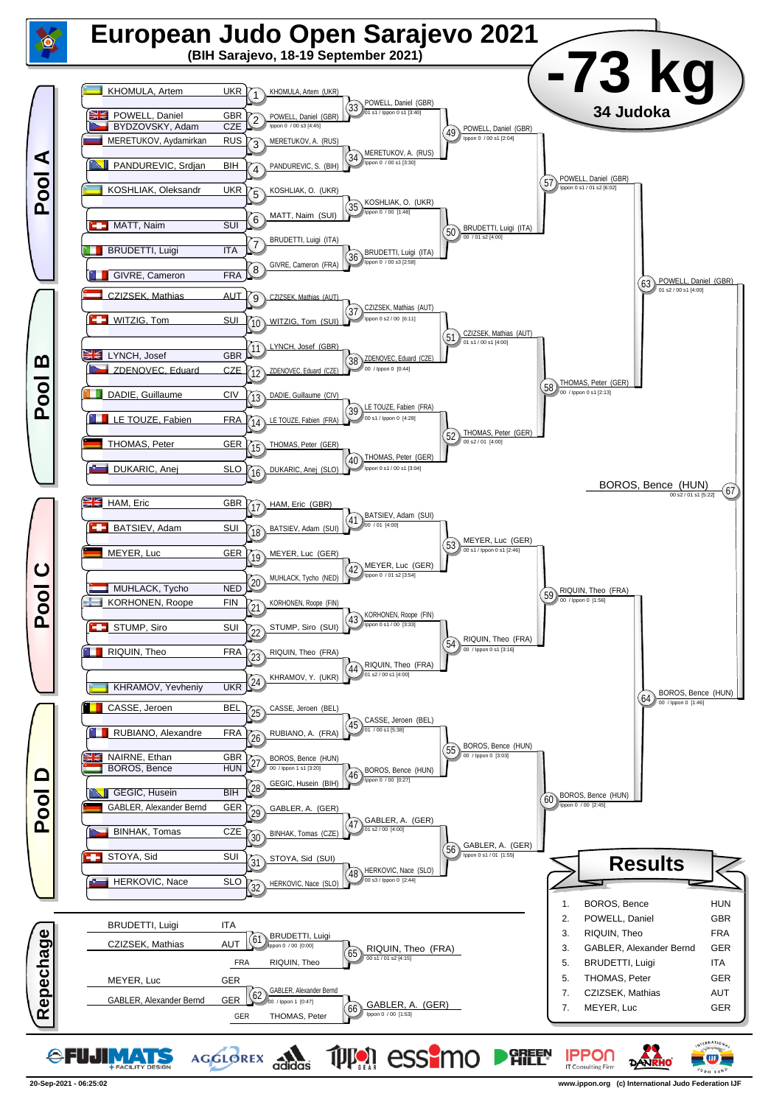

**<sup>20-</sup>Sep-2021 - 06:25:02 www.ippon.org (c) International Judo Federation IJF**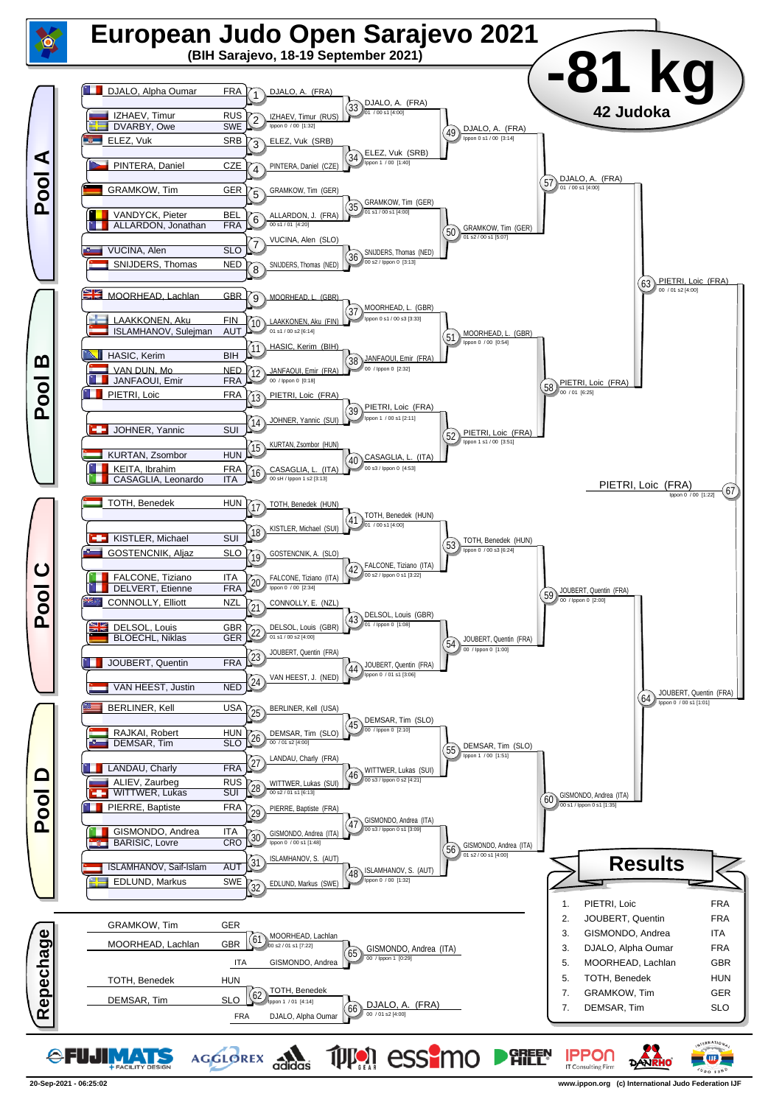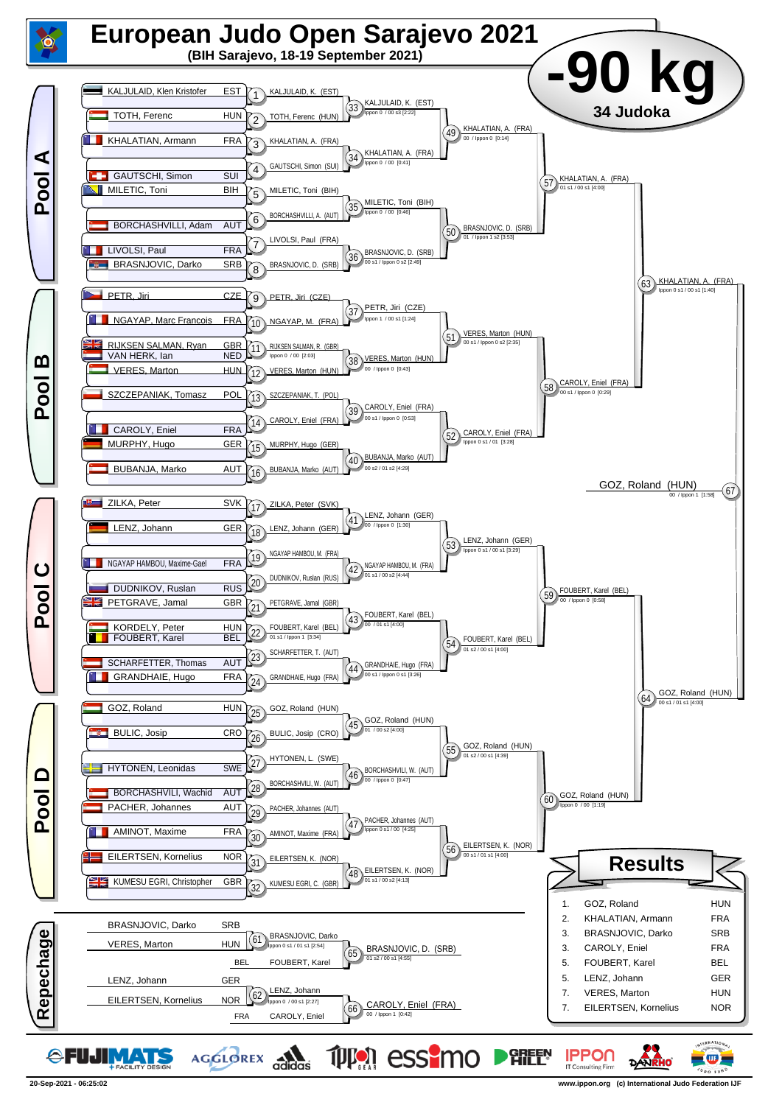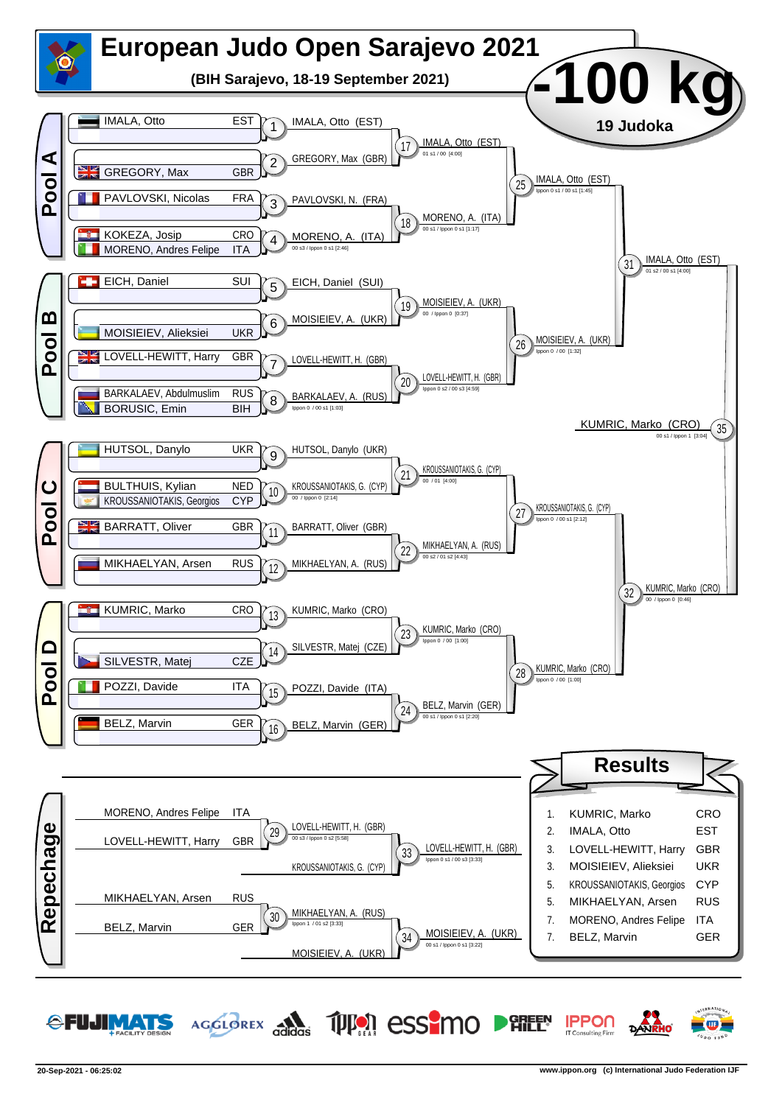